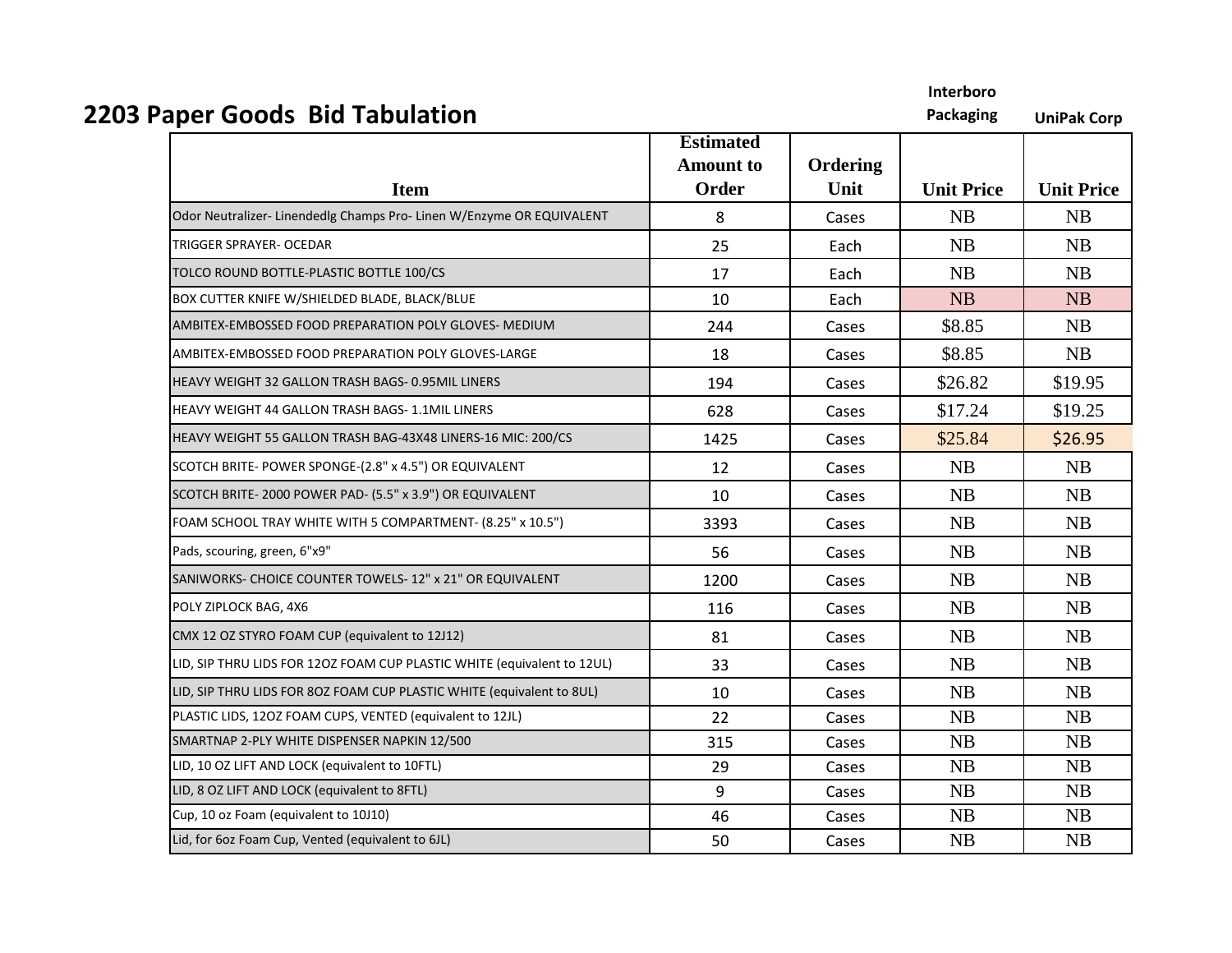| <b>2203 Paper Goods Bid Tabulation</b>                                  |                                               |                  |                   | <b>UniPak Corp</b> |
|-------------------------------------------------------------------------|-----------------------------------------------|------------------|-------------------|--------------------|
| <b>Item</b>                                                             | <b>Estimated</b><br><b>Amount to</b><br>Order | Ordering<br>Unit | <b>Unit Price</b> | <b>Unit Price</b>  |
| Odor Neutralizer-Linendedlg Champs Pro-Linen W/Enzyme OR EQUIVALENT     | 8                                             | Cases            | <b>NB</b>         | <b>NB</b>          |
| <b>TRIGGER SPRAYER- OCEDAR</b>                                          | 25                                            | Each             | <b>NB</b>         | <b>NB</b>          |
| TOLCO ROUND BOTTLE-PLASTIC BOTTLE 100/CS                                | 17                                            | Each             | NB                | <b>NB</b>          |
| BOX CUTTER KNIFE W/SHIELDED BLADE, BLACK/BLUE                           | 10                                            | Each             | NB                | NB                 |
| AMBITEX-EMBOSSED FOOD PREPARATION POLY GLOVES- MEDIUM                   | 244                                           | Cases            | \$8.85            | <b>NB</b>          |
| AMBITEX-EMBOSSED FOOD PREPARATION POLY GLOVES-LARGE                     | 18                                            | Cases            | \$8.85            | <b>NB</b>          |
| HEAVY WEIGHT 32 GALLON TRASH BAGS- 0.95MIL LINERS                       | 194                                           | Cases            | \$26.82           | \$19.95            |
| HEAVY WEIGHT 44 GALLON TRASH BAGS- 1.1MIL LINERS                        | 628                                           | Cases            | \$17.24           | \$19.25            |
| HEAVY WEIGHT 55 GALLON TRASH BAG-43X48 LINERS-16 MIC: 200/CS            | 1425                                          | Cases            | \$25.84           | \$26.95            |
| SCOTCH BRITE- POWER SPONGE-(2.8" x 4.5") OR EQUIVALENT                  | 12                                            | Cases            | <b>NB</b>         | <b>NB</b>          |
| SCOTCH BRITE-2000 POWER PAD- (5.5" x 3.9") OR EQUIVALENT                | 10                                            | Cases            | NB                | <b>NB</b>          |
| FOAM SCHOOL TRAY WHITE WITH 5 COMPARTMENT- (8.25" x 10.5")              | 3393                                          | Cases            | NB                | NB                 |
| Pads, scouring, green, 6"x9"                                            | 56                                            | Cases            | NB                | <b>NB</b>          |
| SANIWORKS- CHOICE COUNTER TOWELS-12" x 21" OR EQUIVALENT                | 1200                                          | Cases            | <b>NB</b>         | <b>NB</b>          |
| POLY ZIPLOCK BAG, 4X6                                                   | 116                                           | Cases            | NB                | <b>NB</b>          |
| CMX 12 OZ STYRO FOAM CUP (equivalent to 12J12)                          | 81                                            | Cases            | NB                | NB                 |
| LID, SIP THRU LIDS FOR 12OZ FOAM CUP PLASTIC WHITE (equivalent to 12UL) | 33                                            | Cases            | <b>NB</b>         | <b>NB</b>          |
| LID, SIP THRU LIDS FOR 8OZ FOAM CUP PLASTIC WHITE (equivalent to 8UL)   | 10                                            | Cases            | NB                | <b>NB</b>          |
| PLASTIC LIDS, 1202 FOAM CUPS, VENTED (equivalent to 12JL)               | 22                                            | Cases            | NB                | <b>NB</b>          |
| SMARTNAP 2-PLY WHITE DISPENSER NAPKIN 12/500                            | 315                                           | Cases            | NB                | <b>NB</b>          |
| LID, 10 OZ LIFT AND LOCK (equivalent to 10FTL)                          | 29                                            | Cases            | <b>NB</b>         | <b>NB</b>          |
| LID, 8 OZ LIFT AND LOCK (equivalent to 8FTL)                            | 9                                             | Cases            | <b>NB</b>         | NB                 |
| Cup, 10 oz Foam (equivalent to 10J10)                                   | 46                                            | Cases            | NB                | <b>NB</b>          |
| Lid, for 6oz Foam Cup, Vented (equivalent to 6JL)                       | 50                                            | Cases            | <b>NB</b>         | <b>NB</b>          |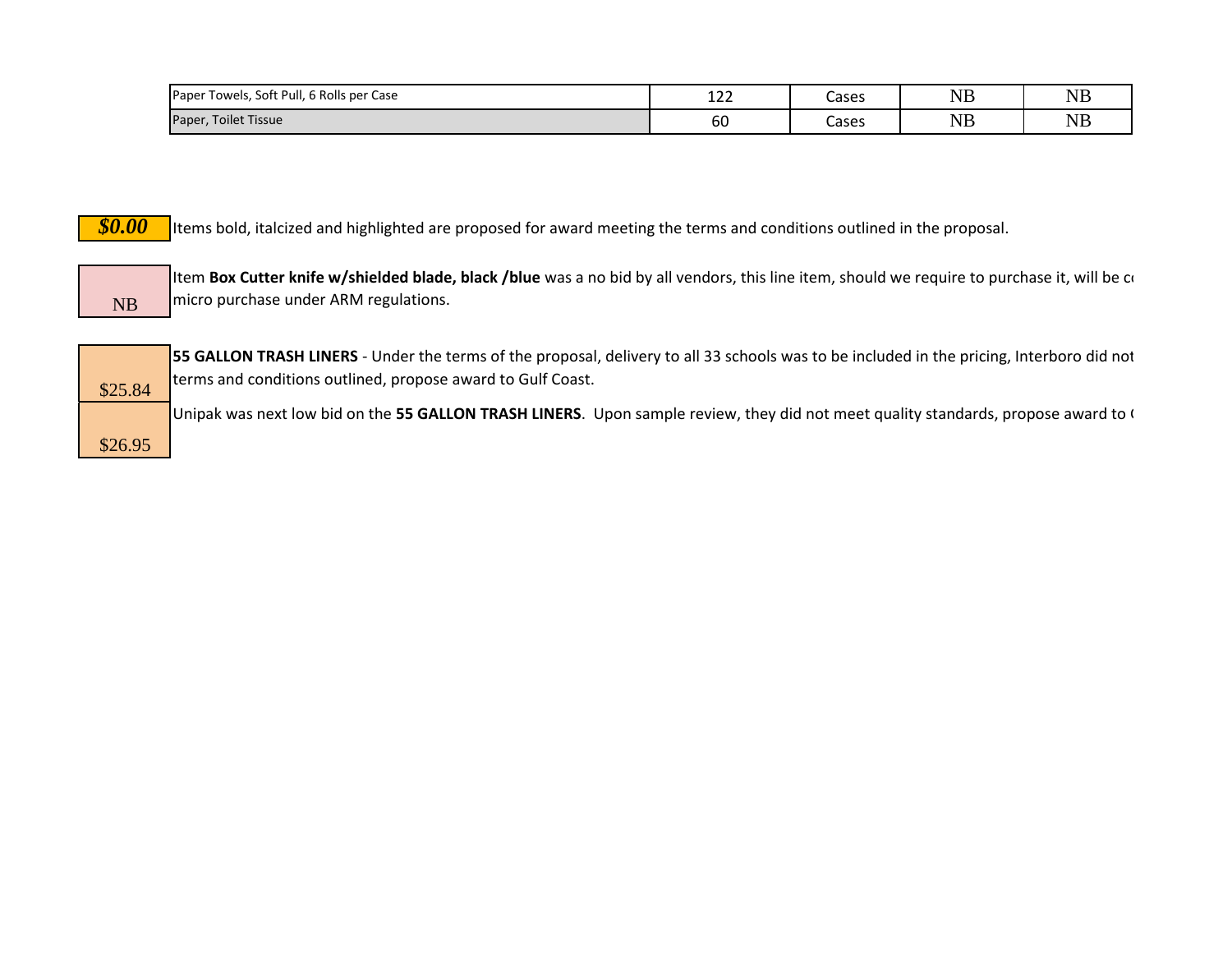| Towels, Soft Pull, 6 Rolls per Case<br>Paper <sup>-</sup> | $\overline{a}$<br>ᅩᄼᄼ | Cases | $\sqrt{1}$<br>ιND | NB        |
|-----------------------------------------------------------|-----------------------|-------|-------------------|-----------|
| Toilet Tissue<br>Paper,                                   | 60                    | Cases | $\sqrt{1}$<br>14D | <b>NB</b> |

*\$0.00* Items bold, italcized and highlighted are proposed for award meeting the terms and conditions outlined in the proposal.

NB Item Box Cutter knife w/shielded blade, black /blue was a no bid by all vendors, this line item, should we require to purchase it, will be considered and micro purchase under ARM regulations.

|         | ŗ |
|---------|---|
| \$25.84 | ı |
|         |   |
| \$26.95 |   |

**55 GALLON TRASH LINERS** - Under the terms of the proposal, delivery to all 33 schools was to be included in the pricing, Interboro did not terms and conditions outlined, propose award to Gulf Coast.

Unipak was next low bid on the 55 GALLON TRASH LINERS. Upon sample review, they did not meet quality standards, propose award to G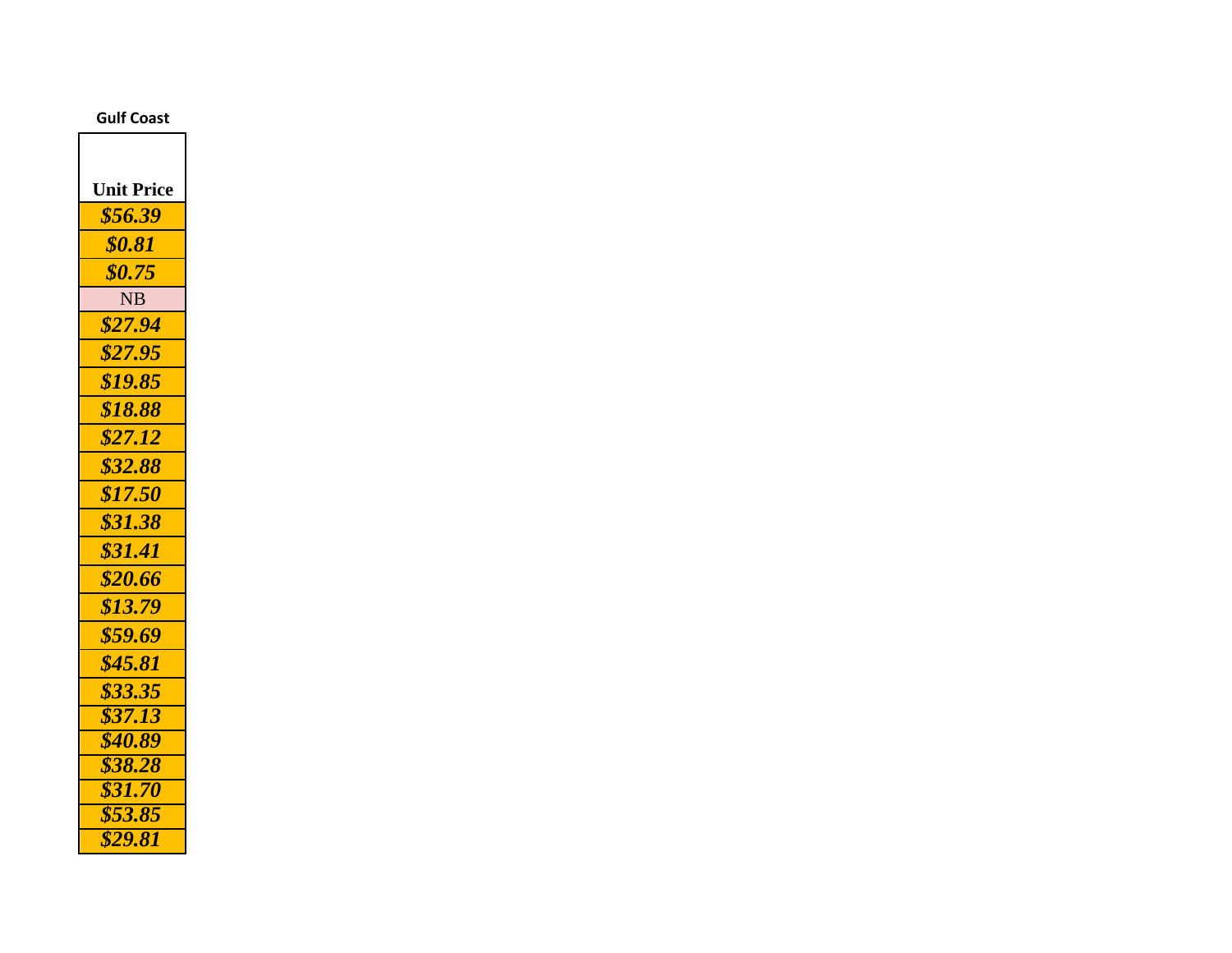## **Gulf Coast**

| <b>Unit Price</b>  |
|--------------------|
| \$56.39            |
| <b>\$0.81</b>      |
| \$0.75             |
| <b>NB</b>          |
| \$27.94            |
| \$27.95            |
| \$19.85            |
| \$18.88            |
| \$27.12            |
| \$32.88            |
| \$17.50            |
| \$31.38            |
| \$31.41            |
| \$20.66            |
| \$13.79            |
| \$59.69            |
| \$45.81            |
| \$33.35            |
| $\sqrt{$37.13}$    |
| \$40.89            |
| \$38.28            |
| \$31.70            |
| \$53.85<br>\$29.81 |
|                    |